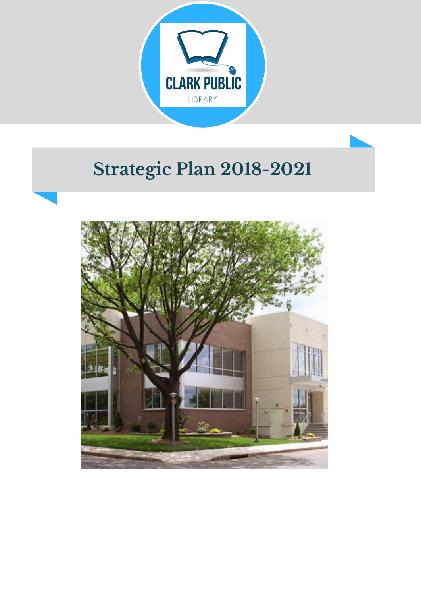

## **Strategic Plan 2018-2021**

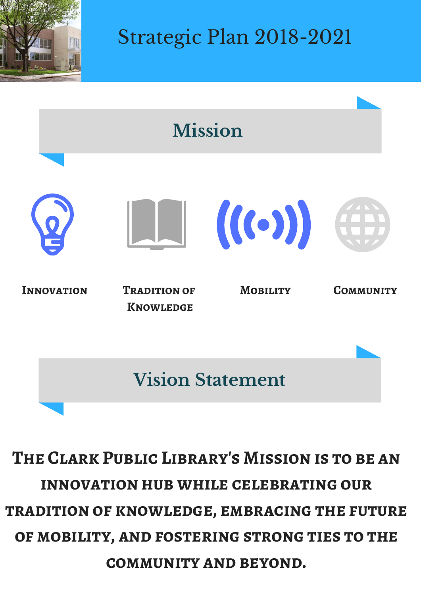

Strategic Plan 2018-2021



**The Clark Public Library's Mission is to be an innovation hub while celebrating our tradition of knowledge, embracing the future of mobility, and fostering strong ties to the community and beyond.**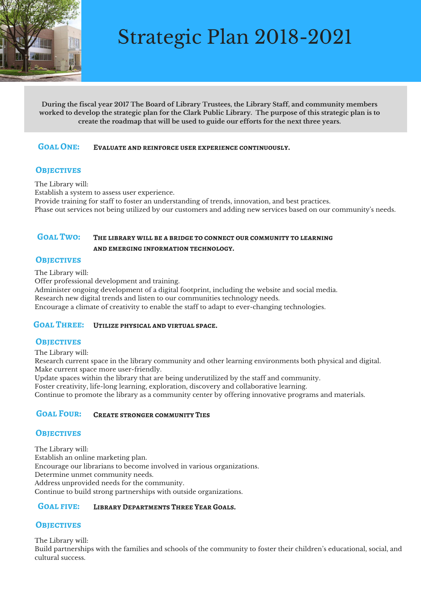

## Strategic Plan 2018-2021

**During the fiscal year 2017 The Board of Library Trustees, the Library Staff, and community members** worked to develop the strategic plan for the Clark Public Library. The purpose of this strategic plan is to **create the roadmap that will be used to guide our efforts for the next three years.**

#### **Goal One: Evaluate and reinforce user experience continuously.**

#### **OBJECTIVES**

The Library will:

Establish a system to assess user experience.

Provide training for staff to foster an understanding of trends, innovation, and best practices. Phase out services not being utilized by our customers and adding new services based on our community's needs.

#### **Goal Two: The library will be a bridge to connect our community to learning and emerging information technology.**

#### **OBJECTIVES**

The Library will:

Offer professional development and training.

Administer ongoing development of a digital footprint, including the website and social media.

Research new digital trends and listen to our communities technology needs.

Encourage a climate of creativity to enable the staff to adapt to ever-changing technologies.

#### **Goal Three: Utilize physical and virtual space.**

#### **OBJECTIVES**

The Library will:

Research current space in the library community and other learning environments both physical and digital. Make current space more user-friendly.

Update spaces within the library that are being underutilized by the staff and community.

Foster creativity, life-long learning, exploration, discovery and collaborative learning.

Continue to promote the library as a community center by offering innovative programs and materials.

#### **Goal Four: Create stronger community Ties**

#### **Objectives**

The Library will: Establish an online marketing plan. Encourage our librarians to become involved in various organizations. Determine unmet community needs. Address unprovided needs for the community. Continue to build strong partnerships with outside organizations.

#### **Goal five: Library Departments Three Year Goals.**

#### **Objectives**

The Library will: Build partnerships with the families and schools of the community to foster their children's educational, social, and cultural success.